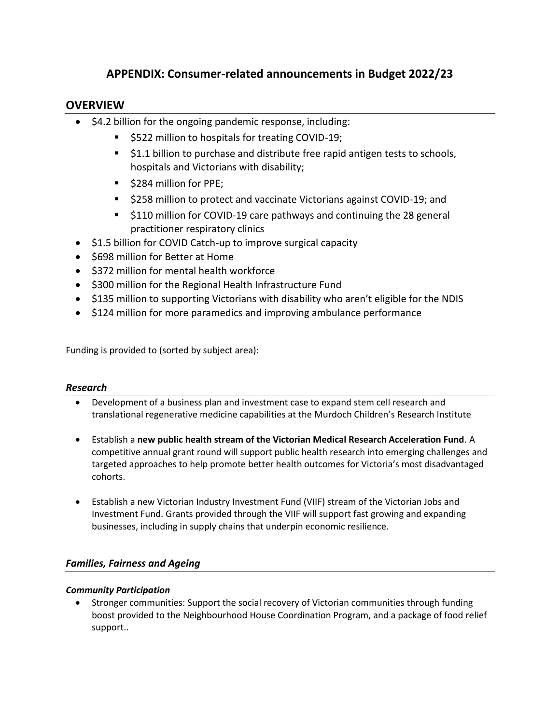# **APPENDIX: Consumer-related announcements in Budget 2022/23**

# **OVERVIEW**

- \$4.2 billion for the ongoing pandemic response, including:
	- \$522 million to hospitals for treating COVID-19;
	- \$1.1 billion to purchase and distribute free rapid antigen tests to schools, hospitals and Victorians with disability;
	- \$284 million for PPE;
	- \$258 million to protect and vaccinate Victorians against COVID-19; and
	- \$110 million for COVID-19 care pathways and continuing the 28 general practitioner respiratory clinics
- \$1.5 billion for COVID Catch-up to improve surgical capacity
- \$698 million for Better at Home
- \$372 million for mental health workforce
- \$300 million for the Regional Health Infrastructure Fund
- \$135 million to supporting Victorians with disability who aren't eligible for the NDIS
- \$124 million for more paramedics and improving ambulance performance

Funding is provided to (sorted by subject area):

### *Research*

- Development of a business plan and investment case to expand stem cell research and translational regenerative medicine capabilities at the Murdoch Children's Research Institute
- Establish a **new public health stream of the Victorian Medical Research Acceleration Fund**. A competitive annual grant round will support public health research into emerging challenges and targeted approaches to help promote better health outcomes for Victoria's most disadvantaged cohorts.
- Establish a new Victorian Industry Investment Fund (VIIF) stream of the Victorian Jobs and Investment Fund. Grants provided through the VIIF will support fast growing and expanding businesses, including in supply chains that underpin economic resilience.

## *Families, Fairness and Ageing*

### *Community Participation*

• Stronger communities: Support the social recovery of Victorian communities through funding boost provided to the Neighbourhood House Coordination Program, and a package of food relief support..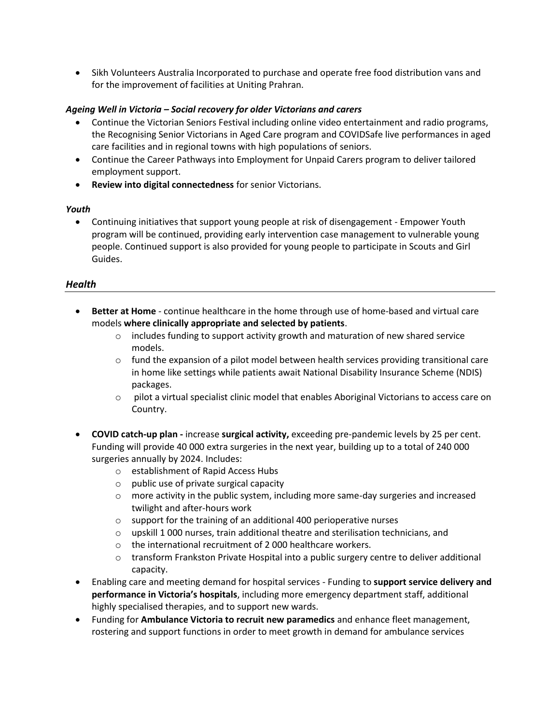• Sikh Volunteers Australia Incorporated to purchase and operate free food distribution vans and for the improvement of facilities at Uniting Prahran.

#### *Ageing Well in Victoria – Social recovery for older Victorians and carers*

- Continue the Victorian Seniors Festival including online video entertainment and radio programs, the Recognising Senior Victorians in Aged Care program and COVIDSafe live performances in aged care facilities and in regional towns with high populations of seniors.
- Continue the Career Pathways into Employment for Unpaid Carers program to deliver tailored employment support.
- **Review into digital connectedness** for senior Victorians.

#### *Youth*

• Continuing initiatives that support young people at risk of disengagement - Empower Youth program will be continued, providing early intervention case management to vulnerable young people. Continued support is also provided for young people to participate in Scouts and Girl Guides.

#### *Health*

- **Better at Home** continue healthcare in the home through use of home-based and virtual care models **where clinically appropriate and selected by patients**.
	- $\circ$  includes funding to support activity growth and maturation of new shared service models.
	- $\circ$  fund the expansion of a pilot model between health services providing transitional care in home like settings while patients await National Disability Insurance Scheme (NDIS) packages.
	- $\circ$  pilot a virtual specialist clinic model that enables Aboriginal Victorians to access care on Country.
- **COVID catch-up plan -** increase **surgical activity,** exceeding pre-pandemic levels by 25 per cent. Funding will provide 40 000 extra surgeries in the next year, building up to a total of 240 000 surgeries annually by 2024. Includes:
	- o establishment of Rapid Access Hubs
	- o public use of private surgical capacity
	- $\circ$  more activity in the public system, including more same-day surgeries and increased twilight and after-hours work
	- o support for the training of an additional 400 perioperative nurses
	- $\circ$  upskill 1000 nurses, train additional theatre and sterilisation technicians, and
	- o the international recruitment of 2 000 healthcare workers.
	- $\circ$  transform Frankston Private Hospital into a public surgery centre to deliver additional capacity.
- Enabling care and meeting demand for hospital services Funding to **support service delivery and performance in Victoria's hospitals**, including more emergency department staff, additional highly specialised therapies, and to support new wards.
- Funding for **Ambulance Victoria to recruit new paramedics** and enhance fleet management, rostering and support functions in order to meet growth in demand for ambulance services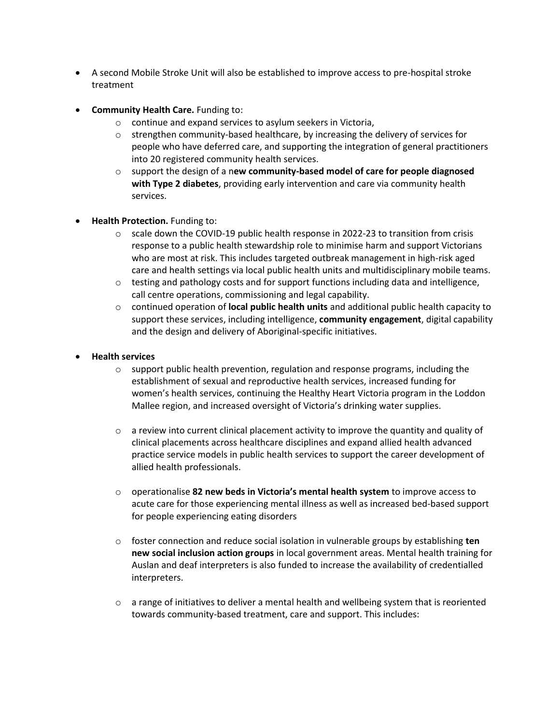- A second Mobile Stroke Unit will also be established to improve access to pre-hospital stroke treatment
- **Community Health Care.** Funding to:
	- o continue and expand services to asylum seekers in Victoria,
	- $\circ$  strengthen community-based healthcare, by increasing the delivery of services for people who have deferred care, and supporting the integration of general practitioners into 20 registered community health services.
	- o support the design of a n**ew community-based model of care for people diagnosed with Type 2 diabetes**, providing early intervention and care via community health services.
- **Health Protection.** Funding to:
	- $\circ$  scale down the COVID-19 public health response in 2022-23 to transition from crisis response to a public health stewardship role to minimise harm and support Victorians who are most at risk. This includes targeted outbreak management in high-risk aged care and health settings via local public health units and multidisciplinary mobile teams.
	- $\circ$  testing and pathology costs and for support functions including data and intelligence, call centre operations, commissioning and legal capability.
	- o continued operation of **local public health units** and additional public health capacity to support these services, including intelligence, **community engagement**, digital capability and the design and delivery of Aboriginal-specific initiatives.
- **Health services**
	- $\circ$  support public health prevention, regulation and response programs, including the establishment of sexual and reproductive health services, increased funding for women's health services, continuing the Healthy Heart Victoria program in the Loddon Mallee region, and increased oversight of Victoria's drinking water supplies.
	- o a review into current clinical placement activity to improve the quantity and quality of clinical placements across healthcare disciplines and expand allied health advanced practice service models in public health services to support the career development of allied health professionals.
	- o operationalise **82 new beds in Victoria's mental health system** to improve access to acute care for those experiencing mental illness as well as increased bed-based support for people experiencing eating disorders
	- o foster connection and reduce social isolation in vulnerable groups by establishing **ten new social inclusion action groups** in local government areas. Mental health training for Auslan and deaf interpreters is also funded to increase the availability of credentialled interpreters.
	- $\circ$  a range of initiatives to deliver a mental health and wellbeing system that is reoriented towards community-based treatment, care and support. This includes: